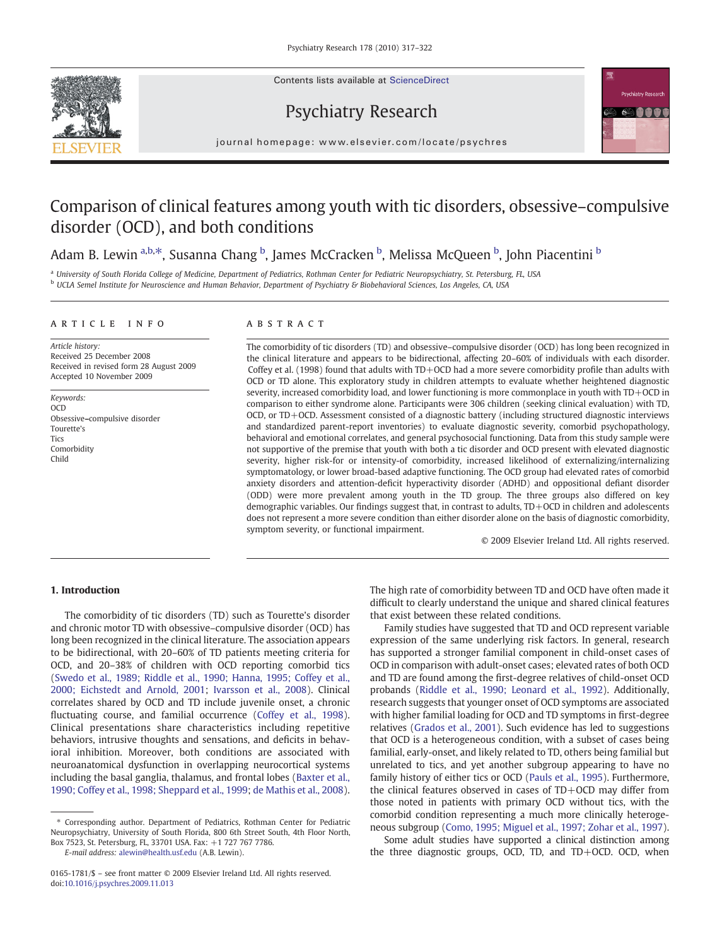Contents lists available at ScienceDirect





## Psychiatry Research

journal homepage: www.elsevier.com/locate/psychres

# Comparison of clinical features among youth with tic disorders, obsessive–compulsive disorder (OCD), and both conditions

Adam B. Lewin <sup>a,b,\*</sup>, Susanna Chang <sup>b</sup>, James McCracken <sup>b</sup>, Melissa McQueen <sup>b</sup>, John Piacentini <sup>b</sup>

a University of South Florida College of Medicine, Department of Pediatrics, Rothman Center for Pediatric Neuropsychiatry, St. Petersburg, FL, USA <sup>b</sup> UCLA Semel Institute for Neuroscience and Human Behavior, Department of Psychiatry & Biobehavioral Sciences, Los Angeles, CA, USA

#### article info abstract

Article history: Received 25 December 2008 Received in revised form 28 August 2009 Accepted 10 November 2009

Keywords: **OCD** Obsessive–compulsive disorder Tourette's **Tics** Comorbidity Child

The comorbidity of tic disorders (TD) and obsessive–compulsive disorder (OCD) has long been recognized in the clinical literature and appears to be bidirectional, affecting 20–60% of individuals with each disorder. Coffey et al. (1998) found that adults with  $TD+OCD$  had a more severe comorbidity profile than adults with OCD or TD alone. This exploratory study in children attempts to evaluate whether heightened diagnostic severity, increased comorbidity load, and lower functioning is more commonplace in youth with TD+OCD in comparison to either syndrome alone. Participants were 306 children (seeking clinical evaluation) with TD, OCD, or TD+OCD. Assessment consisted of a diagnostic battery (including structured diagnostic interviews and standardized parent-report inventories) to evaluate diagnostic severity, comorbid psychopathology, behavioral and emotional correlates, and general psychosocial functioning. Data from this study sample were not supportive of the premise that youth with both a tic disorder and OCD present with elevated diagnostic severity, higher risk-for or intensity-of comorbidity, increased likelihood of externalizing/internalizing symptomatology, or lower broad-based adaptive functioning. The OCD group had elevated rates of comorbid anxiety disorders and attention-deficit hyperactivity disorder (ADHD) and oppositional defiant disorder (ODD) were more prevalent among youth in the TD group. The three groups also differed on key demographic variables. Our findings suggest that, in contrast to adults, TD+OCD in children and adolescents does not represent a more severe condition than either disorder alone on the basis of diagnostic comorbidity, symptom severity, or functional impairment.

© 2009 Elsevier Ireland Ltd. All rights reserved.

### 1. Introduction

The comorbidity of tic disorders (TD) such as Tourette's disorder and chronic motor TD with obsessive–compulsive disorder (OCD) has long been recognized in the clinical literature. The association appears to be bidirectional, with 20–60% of TD patients meeting criteria for OCD, and 20–38% of children with OCD reporting comorbid tics [\(Swedo et al., 1989; Riddle et al., 1990; Hanna, 1995; Coffey et al.,](#page--1-0) [2000; Eichstedt and Arnold, 2001](#page--1-0); [Ivarsson et al., 2008](#page--1-0)). Clinical correlates shared by OCD and TD include juvenile onset, a chronic fluctuating course, and familial occurrence ([Coffey et al., 1998](#page--1-0)). Clinical presentations share characteristics including repetitive behaviors, intrusive thoughts and sensations, and deficits in behavioral inhibition. Moreover, both conditions are associated with neuroanatomical dysfunction in overlapping neurocortical systems including the basal ganglia, thalamus, and frontal lobes ([Baxter et al.,](#page--1-0) [1990; Coffey et al., 1998; Sheppard et al., 1999;](#page--1-0) [de Mathis et al., 2008](#page--1-0)).

⁎ Corresponding author. Department of Pediatrics, Rothman Center for Pediatric Neuropsychiatry, University of South Florida, 800 6th Street South, 4th Floor North, Box 7523, St. Petersburg, FL, 33701 USA. Fax: +1 727 767 7786.

E-mail address: [alewin@health.usf.edu](mailto:alewin@health.usf.edu) (A.B. Lewin).

The high rate of comorbidity between TD and OCD have often made it difficult to clearly understand the unique and shared clinical features that exist between these related conditions.

Family studies have suggested that TD and OCD represent variable expression of the same underlying risk factors. In general, research has supported a stronger familial component in child-onset cases of OCD in comparison with adult-onset cases; elevated rates of both OCD and TD are found among the first-degree relatives of child-onset OCD probands [\(Riddle et al., 1990; Leonard et al., 1992\)](#page--1-0). Additionally, research suggests that younger onset of OCD symptoms are associated with higher familial loading for OCD and TD symptoms in first-degree relatives ([Grados et al., 2001\)](#page--1-0). Such evidence has led to suggestions that OCD is a heterogeneous condition, with a subset of cases being familial, early-onset, and likely related to TD, others being familial but unrelated to tics, and yet another subgroup appearing to have no family history of either tics or OCD [\(Pauls et al., 1995\)](#page--1-0). Furthermore, the clinical features observed in cases of TD+OCD may differ from those noted in patients with primary OCD without tics, with the comorbid condition representing a much more clinically heterogeneous subgroup [\(Como, 1995; Miguel et al., 1997; Zohar et al., 1997](#page--1-0)).

Some adult studies have supported a clinical distinction among the three diagnostic groups, OCD, TD, and TD+OCD. OCD, when

<sup>0165-1781/\$</sup> – see front matter © 2009 Elsevier Ireland Ltd. All rights reserved. doi:[10.1016/j.psychres.2009.11.013](http://dx.doi.org/10.1016/j.psychres.2009.11.013)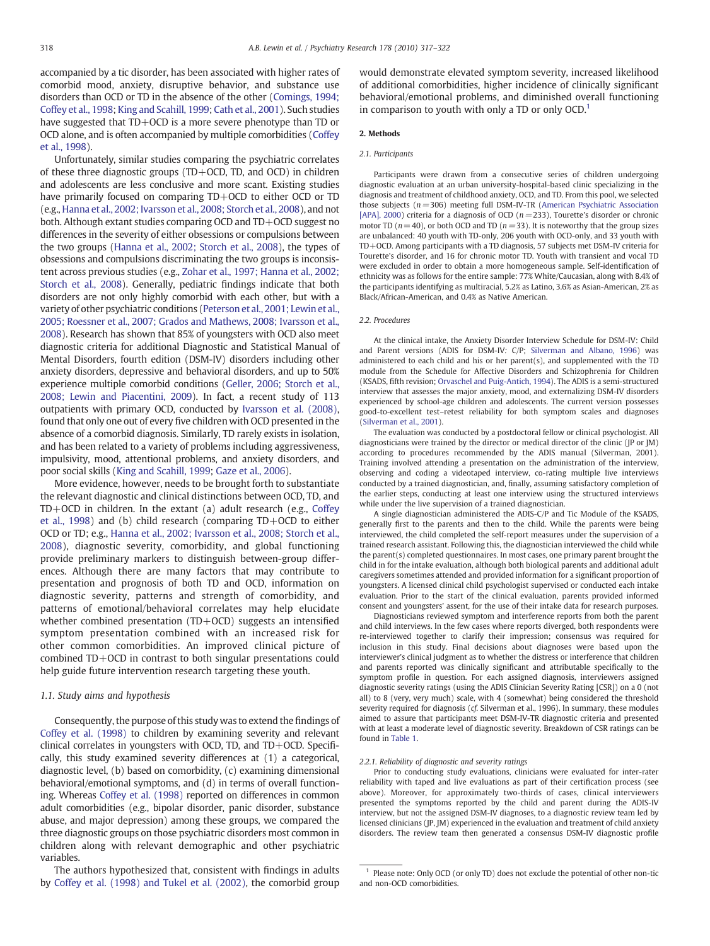accompanied by a tic disorder, has been associated with higher rates of comorbid mood, anxiety, disruptive behavior, and substance use disorders than OCD or TD in the absence of the other [\(Comings, 1994;](#page--1-0) [Coffey et al., 1998;](#page--1-0) [King and Scahill, 1999](#page--1-0); [Cath et al., 2001](#page--1-0)). Such studies have suggested that TD+OCD is a more severe phenotype than TD or OCD alone, and is often accompanied by multiple comorbidities [\(Coffey](#page--1-0) [et al., 1998](#page--1-0)).

Unfortunately, similar studies comparing the psychiatric correlates of these three diagnostic groups (TD+OCD, TD, and OCD) in children and adolescents are less conclusive and more scant. Existing studies have primarily focused on comparing TD+OCD to either OCD or TD (e.g., [Hanna et al., 2002; Ivarsson et al., 2008; Storch et al., 2008](#page--1-0)), and not both. Although extant studies comparing OCD and TD+OCD suggest no differences in the severity of either obsessions or compulsions between the two groups ([Hanna et al., 2002; Storch et al., 2008](#page--1-0)), the types of obsessions and compulsions discriminating the two groups is inconsistent across previous studies (e.g., [Zohar et al., 1997; Hanna et al., 2002;](#page--1-0) [Storch et al., 2008](#page--1-0)). Generally, pediatric findings indicate that both disorders are not only highly comorbid with each other, but with a variety of other psychiatric conditions [\(Peterson et al., 2001; Lewin et al.,](#page--1-0) [2005; Roessner et al., 2007; Grados and Mathews, 2008; Ivarsson et al.,](#page--1-0) [2008\)](#page--1-0). Research has shown that 85% of youngsters with OCD also meet diagnostic criteria for additional Diagnostic and Statistical Manual of Mental Disorders, fourth edition (DSM-IV) disorders including other anxiety disorders, depressive and behavioral disorders, and up to 50% experience multiple comorbid conditions ([Geller, 2006; Storch et al.,](#page--1-0) [2008; Lewin and Piacentini, 2009](#page--1-0)). In fact, a recent study of 113 outpatients with primary OCD, conducted by [Ivarsson et al. \(2008\),](#page--1-0) found that only one out of every five children with OCD presented in the absence of a comorbid diagnosis. Similarly, TD rarely exists in isolation, and has been related to a variety of problems including aggressiveness, impulsivity, mood, attentional problems, and anxiety disorders, and poor social skills ([King and Scahill, 1999](#page--1-0); [Gaze et al., 2006](#page--1-0)).

More evidence, however, needs to be brought forth to substantiate the relevant diagnostic and clinical distinctions between OCD, TD, and TD+OCD in children. In the extant (a) adult research (e.g., [Coffey](#page--1-0) [et al., 1998\)](#page--1-0) and (b) child research (comparing TD+OCD to either OCD or TD; e.g., [Hanna et al., 2002; Ivarsson et al., 2008; Storch et al.,](#page--1-0) [2008](#page--1-0)), diagnostic severity, comorbidity, and global functioning provide preliminary markers to distinguish between-group differences. Although there are many factors that may contribute to presentation and prognosis of both TD and OCD, information on diagnostic severity, patterns and strength of comorbidity, and patterns of emotional/behavioral correlates may help elucidate whether combined presentation (TD+OCD) suggests an intensified symptom presentation combined with an increased risk for other common comorbidities. An improved clinical picture of combined TD+OCD in contrast to both singular presentations could help guide future intervention research targeting these youth.

#### 1.1. Study aims and hypothesis

Consequently, the purpose of this study was to extend the findings of [Coffey et al. \(1998\)](#page--1-0) to children by examining severity and relevant clinical correlates in youngsters with OCD, TD, and TD+OCD. Specifically, this study examined severity differences at (1) a categorical, diagnostic level, (b) based on comorbidity, (c) examining dimensional behavioral/emotional symptoms, and (d) in terms of overall functioning. Whereas [Coffey et al. \(1998\)](#page--1-0) reported on differences in common adult comorbidities (e.g., bipolar disorder, panic disorder, substance abuse, and major depression) among these groups, we compared the three diagnostic groups on those psychiatric disorders most common in children along with relevant demographic and other psychiatric variables.

The authors hypothesized that, consistent with findings in adults by [Coffey et al. \(1998\) and Tukel et al. \(2002\)](#page--1-0), the comorbid group would demonstrate elevated symptom severity, increased likelihood of additional comorbidities, higher incidence of clinically significant behavioral/emotional problems, and diminished overall functioning in comparison to youth with only a TD or only  $OCD<sup>1</sup>$ .

#### 2. Methods

#### 2.1. Participants

Participants were drawn from a consecutive series of children undergoing diagnostic evaluation at an urban university-hospital-based clinic specializing in the diagnosis and treatment of childhood anxiety, OCD, and TD. From this pool, we selected those subjects  $(n=306)$  meeting full DSM-IV-TR ([American Psychiatric Association](#page--1-0) [\[APA\], 2000\)](#page--1-0) criteria for a diagnosis of OCD ( $n=233$ ), Tourette's disorder or chronic motor TD ( $n=40$ ), or both OCD and TD ( $n=33$ ). It is noteworthy that the group sizes are unbalanced: 40 youth with TD-only, 206 youth with OCD-only, and 33 youth with TD+OCD. Among participants with a TD diagnosis, 57 subjects met DSM-IV criteria for Tourette's disorder, and 16 for chronic motor TD. Youth with transient and vocal TD were excluded in order to obtain a more homogeneous sample. Self-identification of ethnicity was as follows for the entire sample: 77% White/Caucasian, along with 8.4% of the participants identifying as multiracial, 5.2% as Latino, 3.6% as Asian-American, 2% as Black/African-American, and 0.4% as Native American.

#### 2.2. Procedures

At the clinical intake, the Anxiety Disorder Interview Schedule for DSM-IV: Child and Parent versions (ADIS for DSM-IV: C/P; [Silverman and Albano, 1996](#page--1-0)) was administered to each child and his or her parent(s), and supplemented with the TD module from the Schedule for Affective Disorders and Schizophrenia for Children (KSADS, fifth revision; [Orvaschel and Puig-Antich, 1994\)](#page--1-0). The ADIS is a semi-structured interview that assesses the major anxiety, mood, and externalizing DSM-IV disorders experienced by school-age children and adolescents. The current version possesses good-to-excellent test–retest reliability for both symptom scales and diagnoses ([Silverman et al., 2001\)](#page--1-0).

The evaluation was conducted by a postdoctoral fellow or clinical psychologist. All diagnosticians were trained by the director or medical director of the clinic (JP or JM) according to procedures recommended by the ADIS manual (Silverman, 2001). Training involved attending a presentation on the administration of the interview, observing and coding a videotaped interview, co-rating multiple live interviews conducted by a trained diagnostician, and, finally, assuming satisfactory completion of the earlier steps, conducting at least one interview using the structured interviews while under the live supervision of a trained diagnostician.

A single diagnostician administered the ADIS-C/P and Tic Module of the KSADS, generally first to the parents and then to the child. While the parents were being interviewed, the child completed the self-report measures under the supervision of a trained research assistant. Following this, the diagnostician interviewed the child while the parent(s) completed questionnaires. In most cases, one primary parent brought the child in for the intake evaluation, although both biological parents and additional adult caregivers sometimes attended and provided information for a significant proportion of youngsters. A licensed clinical child psychologist supervised or conducted each intake evaluation. Prior to the start of the clinical evaluation, parents provided informed consent and youngsters' assent, for the use of their intake data for research purposes.

Diagnosticians reviewed symptom and interference reports from both the parent and child interviews. In the few cases where reports diverged, both respondents were re-interviewed together to clarify their impression; consensus was required for inclusion in this study. Final decisions about diagnoses were based upon the interviewer's clinical judgment as to whether the distress or interference that children and parents reported was clinically significant and attributable specifically to the symptom profile in question. For each assigned diagnosis, interviewers assigned diagnostic severity ratings (using the ADIS Clinician Severity Rating [CSR]) on a 0 (not all) to 8 (very, very much) scale, with 4 (somewhat) being considered the threshold severity required for diagnosis (cf. Silverman et al., 1996). In summary, these modules aimed to assure that participants meet DSM-IV-TR diagnostic criteria and presented with at least a moderate level of diagnostic severity. Breakdown of CSR ratings can be found in [Table 1.](#page--1-0)

#### 2.2.1. Reliability of diagnostic and severity ratings

Prior to conducting study evaluations, clinicians were evaluated for inter-rater reliability with taped and live evaluations as part of their certification process (see above). Moreover, for approximately two-thirds of cases, clinical interviewers presented the symptoms reported by the child and parent during the ADIS-IV interview, but not the assigned DSM-IV diagnoses, to a diagnostic review team led by licensed clinicians (JP, JM) experienced in the evaluation and treatment of child anxiety disorders. The review team then generated a consensus DSM-IV diagnostic profile

<sup>&</sup>lt;sup>1</sup> Please note: Only OCD (or only TD) does not exclude the potential of other non-tic and non-OCD comorbidities.